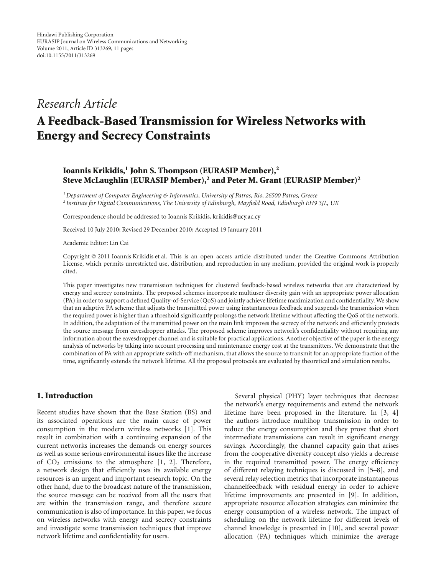## *Research Article*

# **A Feedback-Based Transmission for Wireless Networks with Energy and Secrecy Constraints**

## **Ioannis Krikidis,1 John S. Thompson (EURASIP Member),2 Steve McLaughlin (EURASIP Member),2 and Peter M. Grant (EURASIP Member)2**

*1Department of Computer Engineering & Informatics, University of Patras, Rio, 26500 Patras, Greece <sup>2</sup> Institute for Digital Communications, The University of Edinburgh, Mayfield Road, Edinburgh EH9 3JL, UK*

Correspondence should be addressed to Ioannis Krikidis, krikidis@ucy.ac.cy

Received 10 July 2010; Revised 29 December 2010; Accepted 19 January 2011

Academic Editor: Lin Cai

Copyright © 2011 Ioannis Krikidis et al. This is an open access article distributed under the Creative Commons Attribution License, which permits unrestricted use, distribution, and reproduction in any medium, provided the original work is properly cited.

This paper investigates new transmission techniques for clustered feedback-based wireless networks that are characterized by energy and secrecy constraints. The proposed schemes incorporate multiuser diversity gain with an appropriate power allocation (PA) in order to support a defined Quality-of-Service (QoS) and jointly achieve lifetime maximization and confidentiality. We show that an adaptive PA scheme that adjusts the transmitted power using instantaneous feedback and suspends the transmission when the required power is higher than a threshold significantly prolongs the network lifetime without affecting the QoS of the network. In addition, the adaptation of the transmitted power on the main link improves the secrecy of the network and efficiently protects the source message from eavesdropper attacks. The proposed scheme improves network's confidentiality without requiring any information about the eavesdropper channel and is suitable for practical applications. Another objective of the paper is the energy analysis of networks by taking into account processing and maintenance energy cost at the transmitters. We demonstrate that the combination of PA with an appropriate switch-off mechanism, that allows the source to transmit for an appropriate fraction of the time, significantly extends the network lifetime. All the proposed protocols are evaluated by theoretical and simulation results.

## **1. Introduction**

Recent studies have shown that the Base Station (BS) and its associated operations are the main cause of power consumption in the modern wireless networks [1]. This result in combination with a continuing expansion of the current networks increases the demands on energy sources as well as some serious environmental issues like the increase of  $CO<sub>2</sub>$  emissions to the atmosphere [1, 2]. Therefore, a network design that efficiently uses its available energy resources is an urgent and important research topic. On the other hand, due to the broadcast nature of the transmission, the source message can be received from all the users that are within the transmission range, and therefore secure communication is also of importance. In this paper, we focus on wireless networks with energy and secrecy constraints and investigate some transmission techniques that improve network lifetime and confidentiality for users.

Several physical (PHY) layer techniques that decrease the network's energy requirements and extend the network lifetime have been proposed in the literature. In [3, 4] the authors introduce multihop transmission in order to reduce the energy consumption and they prove that short intermediate transmissions can result in significant energy savings. Accordingly, the channel capacity gain that arises from the cooperative diversity concept also yields a decrease in the required transmitted power. The energy efficiency of different relaying techniques is discussed in [5–8], and several relay selection metrics that incorporate instantaneous channelfeedback with residual energy in order to achieve lifetime improvements are presented in [9]. In addition, appropriate resource allocation strategies can minimize the energy consumption of a wireless network. The impact of scheduling on the network lifetime for different levels of channel knowledge is presented in [10], and several power allocation (PA) techniques which minimize the average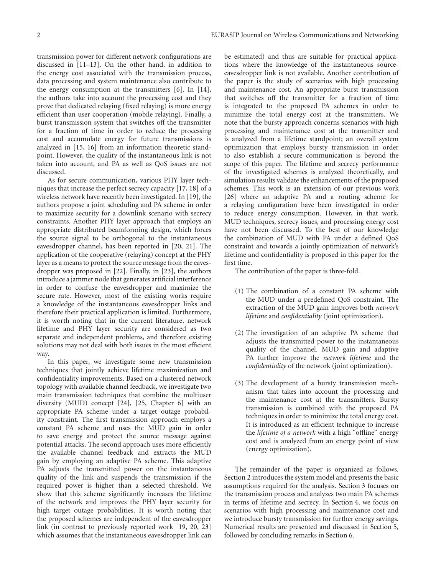transmission power for different network configurations are discussed in [11–13]. On the other hand, in addition to the energy cost associated with the transmission process, data processing and system maintenance also contribute to the energy consumption at the transmitters [6]. In [14], the authors take into account the processing cost and they prove that dedicated relaying (fixed relaying) is more energy efficient than user cooperation (mobile relaying). Finally, a burst transmission system that switches off the transmitter for a fraction of time in order to reduce the processing cost and accumulate energy for future transmissions is analyzed in [15, 16] from an information theoretic standpoint. However, the quality of the instantaneous link is not taken into account, and PA as well as QoS issues are not discussed.

As for secure communication, various PHY layer techniques that increase the perfect secrecy capacity [17, 18] of a wireless network have recently been investigated. In [19], the authors propose a joint scheduling and PA scheme in order to maximize security for a downlink scenario with secrecy constraints. Another PHY layer approach that employs an appropriate distributed beamforming design, which forces the source signal to be orthogonal to the instantaneous eavesdropper channel, has been reported in [20, 21]. The application of the cooperative (relaying) concept at the PHY layer as a means to protect the source message from the eavesdropper was proposed in [22]. Finally, in [23], the authors introduce a jammer node that generates artificial interference in order to confuse the eavesdropper and maximize the secure rate. However, most of the existing works require a knowledge of the instantaneous eavesdropper links and therefore their practical application is limited. Furthermore, it is worth noting that in the current literature, network lifetime and PHY layer security are considered as two separate and independent problems, and therefore existing solutions may not deal with both issues in the most efficient way.

In this paper, we investigate some new transmission techniques that jointly achieve lifetime maximization and confidentiality improvements. Based on a clustered network topology with available channel feedback, we investigate two main transmission techniques that combine the multiuser diversity (MUD) concept [24], [25, Chapter 6] with an appropriate PA scheme under a target outage probability constraint. The first transmission approach employs a constant PA scheme and uses the MUD gain in order to save energy and protect the source message against potential attacks. The second approach uses more efficiently the available channel feedback and extracts the MUD gain by employing an adaptive PA scheme. This adaptive PA adjusts the transmitted power on the instantaneous quality of the link and suspends the transmission if the required power is higher than a selected threshold. We show that this scheme significantly increases the lifetime of the network and improves the PHY layer security for high target outage probabilities. It is worth noting that the proposed schemes are independent of the eavesdropper link (in contrast to previously reported work [19, 20, 23] which assumes that the instantaneous eavesdropper link can

be estimated) and thus are suitable for practical applications where the knowledge of the instantaneous sourceeavesdropper link is not available. Another contribution of the paper is the study of scenarios with high processing and maintenance cost. An appropriate burst transmission that switches off the transmitter for a fraction of time is integrated to the proposed PA schemes in order to minimize the total energy cost at the transmitters. We note that the bursty approach concerns scenarios with high processing and maintenance cost at the transmitter and is analyzed from a lifetime standpoint; an overall system optimization that employs bursty transmission in order to also establish a secure communication is beyond the scope of this paper. The lifetime and secrecy performance of the investigated schemes is analyzed theoretically, and simulation results validate the enhancements of the proposed schemes. This work is an extension of our previous work [26] where an adaptive PA and a routing scheme for a relaying configuration have been investigated in order to reduce energy consumption. However, in that work, MUD techniques, secrecy issues, and processing energy cost have not been discussed. To the best of our knowledge the combination of MUD with PA under a defined QoS constraint and towards a jointly optimization of network's lifetime and confidentiality is proposed in this paper for the first time.

The contribution of the paper is three-fold.

- (1) The combination of a constant PA scheme with the MUD under a predefined QoS constraint. The extraction of the MUD gain improves both *network lifetime* and *confidentiality* (joint optimization).
- (2) The investigation of an adaptive PA scheme that adjusts the transmitted power to the instantaneous quality of the channel. MUD gain and adaptive PA further improve the *network lifetime* and the *confidentiality* of the network (joint optimization).
- (3) The development of a bursty transmission mechanism that takes into account the processing and the maintenance cost at the transmitters. Bursty transmission is combined with the proposed PA techniques in order to minimize the total energy cost. It is introduced as an efficient technique to increase the *lifetime of a network* with a high "offline" energy cost and is analyzed from an energy point of view (energy optimization).

The remainder of the paper is organized as follows. Section 2 introduces the system model and presents the basic assumptions required for the analysis. Section 3 focuses on the transmission process and analyzes two main PA schemes in terms of lifetime and secrecy. In Section 4, we focus on scenarios with high processing and maintenance cost and we introduce bursty transmission for further energy savings. Numerical results are presented and discussed in Section 5, followed by concluding remarks in Section 6.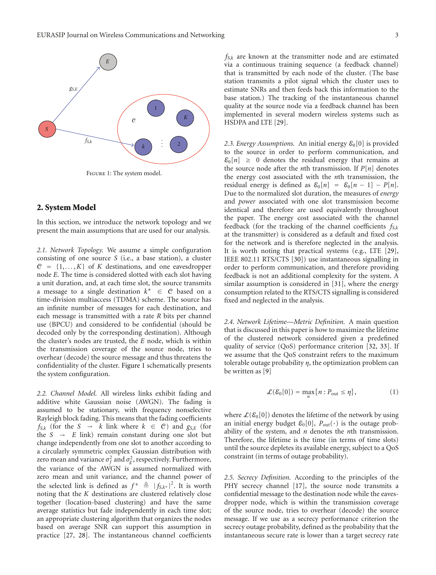

Figure 1: The system model.

#### **2. System Model**

In this section, we introduce the network topology and we present the main assumptions that are used for our analysis.

*2.1. Network Topology.* We assume a simple configuration consisting of one source *S* (i.e., a base station), a cluster  $C = \{1, \ldots, K\}$  of *K* destinations, and one eavesdropper node *E*. The time is considered slotted with each slot having a unit duration, and, at each time slot, the source transmits a message to a single destination *k*<sup>∗</sup> ∈ C based on a time-division multiaccess (TDMA) scheme. The source has an infinite number of messages for each destination, and each message is transmitted with a rate *R* bits per channel use (BPCU) and considered to be confidential (should be decoded only by the corresponding destination). Although the cluster's nodes are trusted, the *E* node, which is within the transmission coverage of the source node, tries to overhear (decode) the source message and thus threatens the confidentiality of the cluster. Figure 1 schematically presents the system configuration.

*2.2. Channel Model.* All wireless links exhibit fading and additive white Gaussian noise (AWGN). The fading is assumed to be stationary, with frequency nonselective Rayleigh block fading. This means that the fading coefficients *f<sub>S,k</sub>* (for the *S*  $\rightarrow$  *k* link where  $k \in C$ ) and  $g_{S,E}$  (for the  $S \rightarrow E$  link) remain constant during one slot but change independently from one slot to another according to a circularly symmetric complex Gaussian distribution with zero mean and variance  $\sigma_f^2$  and  $\sigma_g^2$ , respectively. Furthermore, the variance of the AWGN is assumed normalized with zero mean and unit variance, and the channel power of the selected link is defined as  $f^* \triangleq |f_{S,k^*}|^2$ . It is worth noting that the *K* destinations are clustered relatively close together (location-based clustering) and have the same average statistics but fade independently in each time slot; an appropriate clustering algorithm that organizes the nodes based on average SNR can support this assumption in practice [27, 28]. The instantaneous channel coefficients

 $f_{S,k}$  are known at the transmitter node and are estimated via a continuous training sequence (a feedback channel) that is transmitted by each node of the cluster. (The base station transmits a pilot signal which the cluster uses to estimate SNRs and then feeds back this information to the base station.) The tracking of the instantaneous channel quality at the source node via a feedback channel has been implemented in several modern wireless systems such as HSDPA and LTE [29].

2.3. Energy Assumptions. An initial energy  $\mathcal{E}_0[0]$  is provided to the source in order to perform communication, and  $\mathcal{E}_0[n] \geq 0$  denotes the residual energy that remains at the source node after the *n*th transmission. If  $P[n]$  denotes the energy cost associated with the *n*th transmission, the residual energy is defined as  $\mathcal{E}_0[n] = \mathcal{E}_0[n-1] - P[n].$ Due to the normalized slot duration, the measures of *energy* and *power* associated with one slot transmission become identical and therefore are used equivalently throughout the paper. The energy cost associated with the channel feedback (for the tracking of the channel coefficients  $f_{S,k}$ at the transmitter) is considered as a default and fixed cost for the network and is therefore neglected in the analysis. It is worth noting that practical systems (e.g., LTE [29], IEEE 802.11 RTS/CTS [30]) use instantaneous signalling in order to perform communication, and therefore providing feedback is not an additional complexity for the system. A similar assumption is considered in [31], where the energy consumption related to the RTS/CTS signalling is considered fixed and neglected in the analysis.

*2.4. Network Lifetime—Metric Definition.* A main question that is discussed in this paper is how to maximize the lifetime of the clustered network considered given a predefined quality of service (QoS) performance criterion [32, 33]. If we assume that the QoS constraint refers to the maximum tolerable outage probability  $\eta$ , the optimization problem can be written as [9]

$$
\mathcal{L}(\mathcal{E}_0[0]) = \max_n \{ n : P_{\text{out}} \le \eta \},\tag{1}
$$

where  $\mathcal{L}(\mathcal{E}_0[0])$  denotes the lifetime of the network by using an initial energy budget  $\varepsilon_0[0]$ ,  $P_{out}(\cdot)$  is the outage probability of the system, and *n* denotes the *n*th transmission. Therefore, the lifetime is the time (in terms of time slots) until the source depletes its available energy, subject to a QoS constraint (in terms of outage probability).

*2.5. Secrecy Definition.* According to the principles of the PHY secrecy channel [17], the source node transmits a confidential message to the destination node while the eavesdropper node, which is within the transmission coverage of the source node, tries to overhear (decode) the source message. If we use as a secrecy performance criterion the secrecy outage probability, defined as the probability that the instantaneous secure rate is lower than a target secrecy rate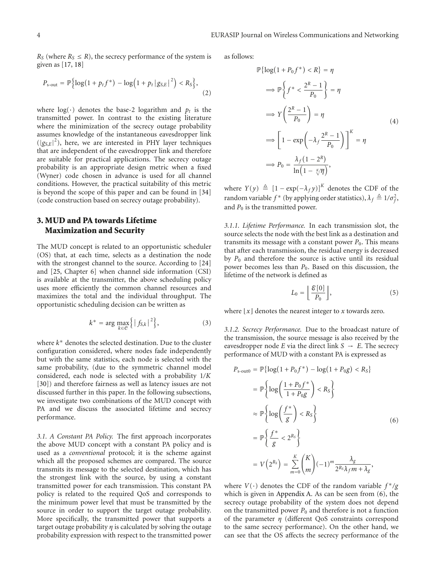$R_S$  (where  $R_S \le R$ ), the secrecy performance of the system is given as [17, 18]

$$
P_{s-out} = \mathbb{P}\Big\{\log(1 + p_t f^*) - \log(1 + p_t |g_{s,E}|^2) < R_s\Big\},\tag{2}
$$

where  $log(·)$  denotes the base-2 logarithm and  $p_t$  is the transmitted power. In contrast to the existing literature where the minimization of the secrecy outage probability assumes knowledge of the instantaneous eavesdropper link (|*gS*,*E*| 2 ), here, we are interested in PHY layer techniques that are independent of the eavesdropper link and therefore are suitable for practical applications. The secrecy outage probability is an appropriate design metric when a fixed (Wyner) code chosen in advance is used for all channel conditions. However, the practical suitability of this metric is beyond the scope of this paper and can be found in [34] (code construction based on secrecy outage probability).

## **3. MUD and PA towards Lifetime Maximization and Security**

The MUD concept is related to an opportunistic scheduler (OS) that, at each time, selects as a destination the node with the strongest channel to the source. According to [24] and [25, Chapter 6] when channel side information (CSI) is available at the transmitter, the above scheduling policy uses more efficiently the common channel resources and maximizes the total and the individual throughput. The opportunistic scheduling decision can be written as

$$
k^* = \arg\max_{k \in \mathcal{C}} \left\{ \left| f_{S,k} \right|^2 \right\},\tag{3}
$$

where *k*<sup>∗</sup> denotes the selected destination. Due to the cluster configuration considered, where nodes fade independently but with the same statistics, each node is selected with the same probability, (due to the symmetric channel model considered, each node is selected with a probability 1*/K* [30]) and therefore fairness as well as latency issues are not discussed further in this paper. In the following subsections, we investigate two combinations of the MUD concept with PA and we discuss the associated lifetime and secrecy performance.

*3.1. A Constant PA Policy.* The first approach incorporates the above MUD concept with a constant PA policy and is used as a *conventional* protocol; it is the scheme against which all the proposed schemes are compared. The source transmits its message to the selected destination, which has the strongest link with the source, by using a constant transmitted power for each transmission. This constant PA policy is related to the required QoS and corresponds to the minimum power level that must be transmitted by the source in order to support the target outage probability. More specifically, the transmitted power that supports a target outage probability *η* is calculated by solving the outage probability expression with respect to the transmitted power

as follows:

$$
\mathbb{P}\{\log(1 + P_0 f^*) < R\} = \eta
$$
\n
$$
\implies \mathbb{P}\left\{f^* < \frac{2^R - 1}{P_0}\right\} = \eta
$$
\n
$$
\implies Y\left(\frac{2^R - 1}{P_0}\right) = \eta
$$
\n
$$
\implies \left[1 - \exp\left(-\lambda_f \frac{2^R - 1}{P_0}\right)\right]^K = \eta
$$
\n
$$
\implies P_0 = \frac{\lambda_f (1 - 2^R)}{\ln\left(1 - \frac{K}{\sqrt{\eta}}\right)},
$$
\n(4)

where  $Y(y) \triangleq [1 - \exp(-\lambda_f y)]^K$  denotes the CDF of the random variable  $f^*$  (by applying order statistics),  $\lambda_f \triangleq 1/\sigma_f^2$ , and  $P_0$  is the transmitted power.

*3.1.1. Lifetime Performance.* In each transmission slot, the source selects the node with the best link as a destination and transmits its message with a constant power  $P_0$ . This means that after each transmission, the residual energy is decreased by  $P_0$  and therefore the source is active until its residual power becomes less than *P*0. Based on this discussion, the lifetime of the network is defined as

$$
L_0 = \left[ \frac{\mathcal{E}[0]}{P_0} \right],\tag{5}
$$

where  $\lfloor x \rfloor$  denotes the nearest integer to *x* towards zero.

*3.1.2. Secrecy Performance.* Due to the broadcast nature of the transmission, the source message is also received by the eavesdropper node *E* via the direct link  $S \rightarrow E$ . The secrecy performance of MUD with a constant PA is expressed as

$$
P_{s\text{-out0}} = \mathbb{P}\{\log(1 + P_0 f^*) - \log(1 + P_0 g) < R_S\}
$$
\n
$$
= \mathbb{P}\left\{\log\left(\frac{1 + P_0 f^*}{1 + P_0 g}\right) < R_S\right\}
$$
\n
$$
\approx \mathbb{P}\left\{\log\left(\frac{f^*}{g}\right) < R_S\right\}
$$
\n
$$
= \mathbb{P}\left\{\frac{f^*}{g} < 2^{R_S}\right\}
$$
\n
$$
= V\left(2^{R_S}\right) = \sum_{m=0}^{K} {K \choose m} (-1)^m \frac{\lambda_g}{2^{R_S} \lambda_f m + \lambda_g},
$$
\n(6)

where  $V(\cdot)$  denotes the CDF of the random variable  $f^*/g$ which is given in Appendix A. As can be seen from (6), the secrecy outage probability of the system does not depend on the transmitted power  $P_0$  and therefore is not a function of the parameter *η* (different QoS constraints correspond to the same secrecy performance). On the other hand, we can see that the OS affects the secrecy performance of the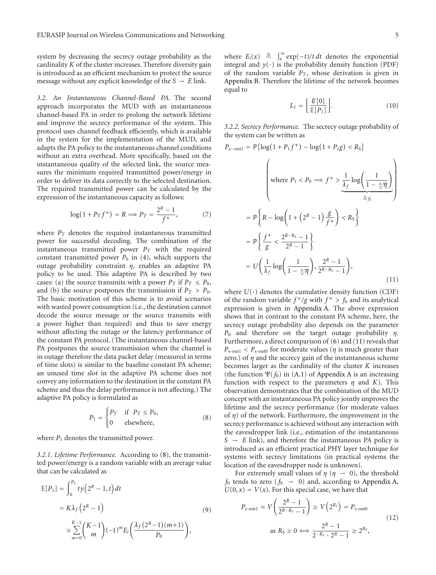system by decreasing the secrecy outage probability as the cardinality *K* of the cluster increases. Therefore diversity gain is introduced as an efficient mechanism to protect the source message without any explicit knowledge of the  $S \rightarrow E$  link.

*3.2. An Instantaneous Channel-Based PA.* The second approach incorporates the MUD with an instantaneous channel-based PA in order to prolong the network lifetime and improve the secrecy performance of the system. This protocol uses channel feedback efficiently, which is available in the system for the implementation of the MUD, and adapts the PA policy to the instantaneous channel conditions without an extra overhead. More specifically, based on the instantaneous quality of the selected link, the source measures the minimum required transmitted power/energy in order to deliver its data correctly to the selected destination. The required transmitted power can be calculated by the expression of the instantaneous capacity as follows:

$$
\log(1 + P_T f^*) = R \Longrightarrow P_T = \frac{2^R - 1}{f^*},\tag{7}
$$

where  $P_T$  denotes the required instantaneous transmitted power for successful decoding. The combination of the instantaneous transmitted power  $P_T$  with the required constant transmitted power  $P_0$  in (4), which supports the outage probability constraint *η*, enables an adaptive PA policy to be used. This adaptive PA is described by two cases: (a) the source transmits with a power  $P_T$  if  $P_T \leq P_0$ , and (b) the source postpones the transmission if  $P_T > P_0$ . The basic motivation of this scheme is to avoid scenarios with wasted power consumption (i.e., the destination cannot decode the source message or the source transmits with a power higher than required) and thus to save energy without affecting the outage or the latency performance of the constant PA protocol. (The instantaneous channel-based PA postpones the source transmission when the channel is in outage therefore the data packet delay (measured in terms of time slots) is similar to the baseline constant PA scheme; an unused time slot in the adaptive PA scheme does not convey any information to the destination in the constant PA scheme and thus the delay performance is not affecting.) The adaptive PA policy is formulated as

$$
P_1 = \begin{cases} P_T & \text{if } P_T \le P_0, \\ 0 & \text{elsewhere,} \end{cases}
$$
 (8)

where  $P_1$  denotes the transmitted power.

*3.2.1. Lifetime Performance.* According to (8), the transmitted power/energy is a random variable with an average value that can be calculated as

$$
\mathbb{E}[P_1] = \int_0^{P_0} t y (2^R - 1, t) dt
$$
  
=  $K \lambda_f (2^R - 1)$  (9)  

$$
\times \sum_{m=0}^{K-1} {K-1 \choose m} (-1)^m E_i \left( \frac{\lambda_f (2^R - 1)(m+1)}{P_0} \right),
$$

where  $E_i(x) \triangleq \int_x^{\infty} \exp(-t)/t \, dt$  denotes the exponential integral and  $y(\cdot)$  is the probability density function (PDF) of the random variable  $P_T$ , whose derivation is given in Appendix B. Therefore the lifetime of the network becomes equal to

$$
L_1 = \left\lfloor \frac{\mathcal{E}[0]}{\mathbb{E}[P_1]} \right\rfloor. \tag{10}
$$

*3.2.2. Secrecy Performance.* The secrecy outage probability of the system can be written as

$$
P_{s-out1} = \mathbb{P}\{\log(1 + P_1 f^*) - \log(1 + P_1 g) < R_S\}
$$

$$
\left(\text{where } P_1 < P_0 \Longrightarrow f^* > \frac{1}{\lambda_f} \log\left(\frac{1}{1 - \frac{\kappa}{\sqrt{\eta}}}\right)\right)
$$
\n
$$
= \mathbb{P}\left\{R - \log\left(1 + \left(2^R - 1\right)\frac{g}{f^*}\right) < R_S\right\}
$$
\n
$$
= \mathbb{P}\left\{\frac{f^*}{g} < \frac{2^{R-R_S} - 1}{2^R - 1}\right\}
$$
\n
$$
= U\left(\frac{1}{\lambda_f} \log\left(\frac{1}{1 - \frac{\kappa}{\sqrt{\eta}}}\right), \frac{2^R - 1}{2^{R-R_S} - 1}\right),\tag{11}
$$

where  $U(\cdot)$  denotes the cumulative density function (CDF) of the random variable  $f^*/g$  with  $f^* > f_0$  and its analytical expression is given in Appendix A. The above expression shows that in contrast to the constant PA scheme, here, the secrecy outage probability also depends on the parameter *P*<sup>0</sup> and therefore on the target outage probability *η*. Furthermore, a direct comparison of (6) and (11) reveals that  $P_{s\text{-out1}} < P_{s\text{-out0}}$  for moderate values ( $\eta$  is much greater than zero.) of *η* and the secrecy gain of the instantaneous scheme becomes larger as the cardinality of the cluster *K* increases (the function  $\Psi(f_0)$  in (A.1) of Appendix A is an increasing function with respect to the parameters *η* and *K*). This observation demonstrates that the combination of the MUD concept with an instantaneous PA policy jointly improves the lifetime and the secrecy performance (for moderate values of *η*) of the network. Furthermore, the improvement in the secrecy performance is achieved without any interaction with the eavesdropper link (i.e., estimation of the instantaneous  $S \rightarrow E$  link), and therefore the instantaneous PA policy is introduced as an efficient practical PHY layer technique for systems with secrecy limitations (in practical systems the location of the eavesdropper node is unknown).

For extremely small values of  $\eta$  ( $\eta \rightarrow 0$ ), the threshold  $f_0$  tends to zero ( $f_0 \rightarrow 0$ ) and, according to Appendix A,  $U(0, x) = V(x)$ . For this special case, we have that

$$
P_{s\text{-out1}} \approx V\left(\frac{2^R - 1}{2^{R - R_s} - 1}\right) \ge V\left(2^{R_s}\right) = P_{s\text{-out0}}
$$
\n
$$
\text{as } R_S \ge 0 \iff \frac{2^R - 1}{2^{-R_s} \cdot 2^R - 1} \ge 2^{R_s},\tag{12}
$$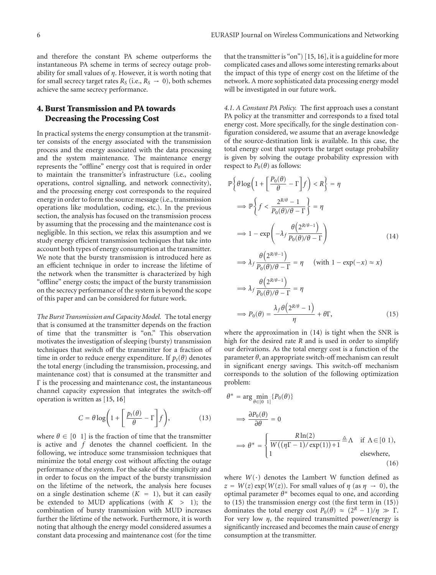and therefore the constant PA scheme outperforms the instantaneous PA scheme in terms of secrecy outage probability for small values of *η*. However, it is worth noting that for small secrecy target rates  $R_S$  (i.e.,  $R_S \rightarrow 0$ ), both schemes achieve the same secrecy performance.

## **4. Burst Transmission and PA towards Decreasing the Processing Cost**

In practical systems the energy consumption at the transmitter consists of the energy associated with the transmission process and the energy associated with the data processing and the system maintenance. The maintenance energy represents the "offline" energy cost that is required in order to maintain the transmitter's infrastructure (i.e., cooling operations, control signalling, and network connectivity), and the processing energy cost corresponds to the required energy in order to form the source message (i.e., transmission operations like modulation, coding, etc.). In the previous section, the analysis has focused on the transmission process by assuming that the processing and the maintenance cost is negligible. In this section, we relax this assumption and we study energy efficient transmission techniques that take into account both types of energy consumption at the transmitter. We note that the bursty transmission is introduced here as an efficient technique in order to increase the lifetime of the network when the transmitter is characterized by high "offline" energy costs; the impact of the bursty transmission on the secrecy performance of the system is beyond the scope of this paper and can be considered for future work.

*The Burst Transmission and Capacity Model.* The total energy that is consumed at the transmitter depends on the fraction of time that the transmitter is "on." This observation motivates the investigation of sleeping (bursty) transmission techniques that switch off the transmitter for a fraction of time in order to reduce energy expenditure. If  $p_t(\theta)$  denotes the total energy (including the transmission, processing, and maintenance cost) that is consumed at the transmitter and Γ is the processing and maintenance cost, the instantaneous channel capacity expression that integrates the switch-off operation is written as [15, 16]

$$
C = \theta \log \left( 1 + \left[ \frac{p_t(\theta)}{\theta} - \Gamma \right] f \right),\tag{13}
$$

where  $\theta \in [0, 1]$  is the fraction of time that the transmitter is active and *f* denotes the channel coefficient. In the following, we introduce some transmission techniques that minimize the total energy cost without affecting the outage performance of the system. For the sake of the simplicity and in order to focus on the impact of the bursty transmission on the lifetime of the network, the analysis here focuses on a single destination scheme  $(K = 1)$ , but it can easily be extended to MUD applications (with *K >* 1); the combination of bursty transmission with MUD increases further the lifetime of the network. Furthermore, it is worth noting that although the energy model considered assumes a constant data processing and maintenance cost (for the time

that the transmitter is "on") [15, 16], it is a guideline for more complicated cases and allows some interesting remarks about the impact of this type of energy cost on the lifetime of the network. A more sophisticated data processing energy model will be investigated in our future work.

*4.1. A Constant PA Policy.* The first approach uses a constant PA policy at the transmitter and corresponds to a fixed total energy cost. More specifically, for the single destination configuration considered, we assume that an average knowledge of the source-destination link is available. In this case, the total energy cost that supports the target outage probability is given by solving the outage probability expression with respect to  $P_0(\theta)$  as follows:

$$
\mathbb{P}\left\{\theta \log \left(1 + \left[\frac{P_0(\theta)}{\theta} - \Gamma\right]f\right) < R\right\} = \eta
$$
\n
$$
\implies \mathbb{P}\left\{f < \frac{2^{R/\theta} - 1}{P_0(\theta)/\theta - \Gamma}\right\} = \eta
$$
\n
$$
\implies 1 - \exp\left(-\lambda_f \frac{\theta\left(2^{R/\theta - 1}\right)}{P_0(\theta)/\theta - \Gamma}\right) \tag{14}
$$
\n
$$
\implies \lambda_f \frac{\theta\left(2^{R/\theta - 1}\right)}{P_0(\theta)/\theta - \Gamma} = \eta \quad \text{(with } 1 - \exp(-x) \approx x\text{)}
$$
\n
$$
\implies \lambda_f \frac{\theta\left(2^{R/\theta - 1}\right)}{P_0(\theta)/\theta - \Gamma} = \eta
$$
\n
$$
\implies P_0(\theta) = \frac{\lambda_f \theta\left(2^{R/\theta} - 1\right)}{\eta} + \theta \Gamma, \tag{15}
$$

where the approximation in (14) is tight when the SNR is high for the desired rate *R* and is used in order to simplify our derivations. As the total energy cost is a function of the parameter *θ*, an appropriate switch-off mechanism can result in significant energy savings. This switch-off mechanism corresponds to the solution of the following optimization problem:

$$
\theta^* = \arg\min_{\theta \in [0 \ 1]} \{P_0(\theta)\}
$$
  
\n
$$
\Rightarrow \frac{\partial P_0(\theta)}{\partial \theta} = 0
$$
  
\n
$$
\Rightarrow \theta^* = \begin{cases} \frac{R \ln(2)}{W((\eta \Gamma - 1)/\exp(1)) + 1} \triangleq \Lambda & \text{if } \Lambda \in [0 \ 1), \\ 1 & \text{elsewhere,} \end{cases}
$$
(16)

where  $W(\cdot)$  denotes the Lambert W function defined as  $z = W(z) \exp(W(z))$ . For small values of  $\eta$  (as  $\eta \to 0$ ), the optimal parameter *θ*<sup>∗</sup> becomes equal to one, and according to (15) the transmission energy cost (the first term in (15)) dominates the total energy cost  $P_0(\theta) \approx (2^R - 1)/\eta \gg \Gamma$ . For very low *η*, the required transmitted power/energy is significantly increased and becomes the main cause of energy consumption at the transmitter.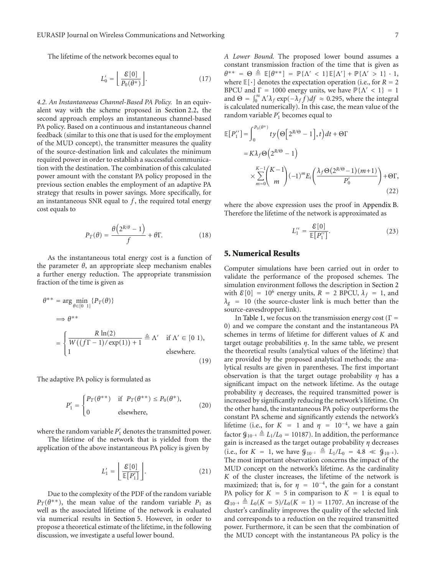The lifetime of the network becomes equal to

$$
L'_{0} = \left\lfloor \frac{\mathcal{E}[0]}{P_{0}(\theta^{*})} \right\rfloor.
$$
 (17)

*4.2. An Instantaneous Channel-Based PA Policy.* In an equivalent way with the scheme proposed in Section 2.2, the second approach employs an instantaneous channel-based PA policy. Based on a continuous and instantaneous channel feedback (similar to this one that is used for the employment of the MUD concept), the transmitter measures the quality of the source-destination link and calculates the minimum required power in order to establish a successful communication with the destination. The combination of this calculated power amount with the constant PA policy proposed in the previous section enables the employment of an adaptive PA strategy that results in power savings. More specifically, for an instantaneous SNR equal to *f* , the required total energy cost equals to

$$
P_T(\theta) = \frac{\theta(2^{R/\theta} - 1)}{f} + \theta \Gamma.
$$
 (18)

As the instantaneous total energy cost is a function of the parameter  $θ$ , an appropriate sleep mechanism enables a further energy reduction. The appropriate transmission fraction of the time is given as

$$
\theta^{**} = \arg\min_{\theta \in [0 \ 1]} \{P_T(\theta)\}
$$
  
\n
$$
\Rightarrow \theta^{**}
$$
  
\n
$$
= \begin{cases} \frac{R \ln(2)}{W((f\Gamma - 1)/\exp(1)) + 1} \stackrel{\Delta}{=} \Lambda' & \text{if } \Lambda' \in [0 \ 1), \\ 1 & \text{elsewhere.} \end{cases}
$$
(19)

The adaptive PA policy is formulated as

$$
P_1' = \begin{cases} P_T(\theta^{**}) & \text{if } P_T(\theta^{**}) \le P_0(\theta^*), \\ 0 & \text{elsewhere,} \end{cases} \tag{20}
$$

where the random variable  $P_1'$  denotes the transmitted power.

The lifetime of the network that is yielded from the application of the above instantaneous PA policy is given by

$$
L_1' = \left\lfloor \frac{\mathcal{E}[0]}{\mathbb{E}[P_1']} \right\rfloor. \tag{21}
$$

Due to the complexity of the PDF of the random variable  $P_T(\theta^{**})$ , the mean value of the random variable  $P_1$  as well as the associated lifetime of the network is evaluated via numerical results in Section 5. However, in order to propose a theoretical estimate of the lifetime, in the following discussion, we investigate a useful lower bound.

*A Lower Bound.* The proposed lower bound assumes a constant transmission fraction of the time that is given as  $\theta^{**} = \Theta \triangleq \mathbb{E}[\theta^{**}] = \mathbb{P}\{\Lambda' < 1\} \mathbb{E}[\Lambda'] + \mathbb{P}\{\Lambda' > 1\} \cdot 1,$ where  $E[\cdot]$  denotes the expectation operation (i.e., for  $R = 2$ ) BPCU and  $\Gamma = 1000$  energy units, we have  $\mathbb{P}\{\Lambda' < 1\} = 1$ and  $\Theta = \int_0^\infty \Lambda' \lambda_f \exp(-\lambda_f \vec{f}) df \approx 0.295$ , where the integral is calculated numerically). In this case, the mean value of the random variable *P* <sup>1</sup> becomes equal to

$$
\mathbb{E}[P_1^{\prime\prime}] = \int_0^{P_0(\theta^*)} t y \Big(\Theta \Big[ 2^{R/\Theta} - 1 \Big], t \Big) dt + \Theta \Gamma
$$
  
=  $K \lambda_f \Theta \Big( 2^{R/\Theta} - 1 \Big)$   

$$
\times \sum_{m=0}^{K-1} {K-1 \choose m} (-1)^m E_i \Big( \frac{\lambda_f \Theta \Big( 2^{R/\Theta} - 1 \Big) (m+1)}{P_0'} \Big) + \Theta \Gamma,
$$
  
(22)

where the above expression uses the proof in Appendix B. Therefore the lifetime of the network is approximated as

$$
L_1'' = \frac{\mathcal{E}[0]}{\mathbb{E}[P_1'']}. \tag{23}
$$

#### **5. Numerical Results**

Computer simulations have been carried out in order to validate the performance of the proposed schemes. The simulation environment follows the description in Section 2 with  $\mathcal{E}[0] = 10^6$  energy units,  $R = 2$  BPCU,  $\lambda_f = 1$ , and  $\lambda_g$  = 10 (the source-cluster link is much better than the source-eavesdropper link).

In Table 1, we focus on the transmission energy cost ( $\Gamma =$ 0) and we compare the constant and the instantaneous PA schemes in terms of lifetime for different values of *K* and target outage probabilities *η*. In the same table, we present the theoretical results (analytical values of the lifetime) that are provided by the proposed analytical methods; the analytical results are given in parentheses. The first important observation is that the target outage probability *η* has a significant impact on the network lifetime. As the outage probability *η* decreases, the required transmitted power is increased by significantly reducing the network's lifetime. On the other hand, the instantaneous PA policy outperforms the constant PA scheme and significantly extends the network's lifetime (i.e., for  $K = 1$  and  $\eta = 10^{-4}$ , we have a gain factor  $\mathcal{G}_{10^{-4}} \triangleq L_1/L_0 = 10187$ ). In addition, the performance gain is increased as the target outage probability *η* decreases (i.e., for  $K = 1$ , we have  $\mathcal{G}_{10^{-1}} \triangleq L_1/L_0 = 4.8 \ll \mathcal{G}_{10^{-4}}$ ). The most important observation concerns the impact of the MUD concept on the network's lifetime. As the cardinality *K* of the cluster increases, the lifetime of the network is maximized; that is, for  $\eta = 10^{-4}$ , the gain for a constant PA policy for  $K = 5$  in comparison to  $K = 1$  is equal to  $\mathcal{Q}_{10^{-4}} \triangleq L_0(K = 5)/L_0(K = 1) = 11707$ . An increase of the cluster's cardinality improves the quality of the selected link and corresponds to a reduction on the required transmitted power. Furthermore, it can be seen that the combination of the MUD concept with the instantaneous PA policy is the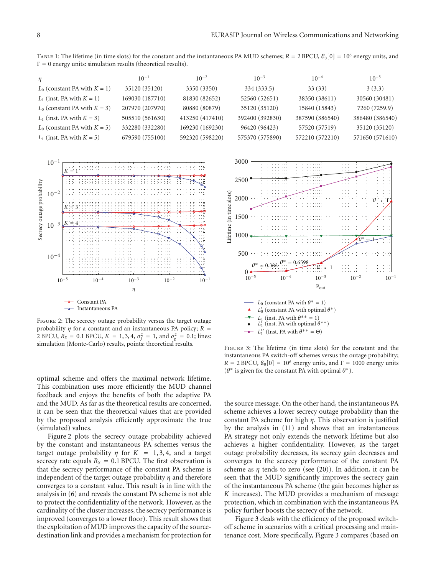TABLE 1: The lifetime (in time slots) for the constant and the instantaneous PA MUD schemes;  $R = 2 BPCU$ ,  $\mathcal{E}_0[0] = 10^6$  energy units, and  $\Gamma = 0$  energy units: simulation results (theoretical results).

| η                                 | $10^{-1}$       | $10^{-2}$       | $10^{-3}$       | $10^{-4}$       | $10^{-5}$       |
|-----------------------------------|-----------------|-----------------|-----------------|-----------------|-----------------|
| $L_0$ (constant PA with $K = 1$ ) | 35120 (35120)   | 3350 (3350)     | 334 (333.5)     | 33(33)          | 3(3.3)          |
| $L_1$ (inst. PA with $K = 1$ )    | 169030 (187710) | 81830 (82652)   | 52560 (52651)   | 38350 (38611)   | 30560 (30481)   |
| $L_0$ (constant PA with $K = 3$ ) | 207970 (207970) | 80880 (80879)   | 35120 (35120)   | 15840 (15843)   | 7260 (7259.9)   |
| $L_1$ (inst. PA with $K = 3$ )    | 505510 (561630) | 413250 (417410) | 392400 (392830) | 387590 (386540) | 386480 (386540) |
| $L_0$ (constant PA with $K = 5$ ) | 332280 (332280) | 169230 (169230) | 96420 (96423)   | 57520 (57519)   | 35120 (35120)   |
| $L_1$ (inst. PA with $K = 5$ )    | 679590 (755100) | 592320 (598220) | 575370 (575890) | 572210 (572210) | 571650 (571610) |



Figure 2: The secrecy outage probability versus the target outage probability *η* for a constant and an instantaneous PA policy; *R* = 2 BPCU,  $R_S = 0.1$  BPCU,  $K = 1, 3, 4, \sigma_f^2 = 1$ , and  $\sigma_g^2 = 0.1$ ; lines: simulation (Monte-Carlo) results, points: theoretical results.

optimal scheme and offers the maximal network lifetime. This combination uses more efficiently the MUD channel feedback and enjoys the benefits of both the adaptive PA and the MUD. As far as the theoretical results are concerned, it can be seen that the theoretical values that are provided by the proposed analysis efficiently approximate the true (simulated) values.

Figure 2 plots the secrecy outage probability achieved by the constant and instantaneous PA schemes versus the target outage probability  $\eta$  for  $K = 1, 3, 4$ , and a target secrecy rate equals  $R_S = 0.1$  BPCU. The first observation is that the secrecy performance of the constant PA scheme is independent of the target outage probability *η* and therefore converges to a constant value. This result is in line with the analysis in (6) and reveals the constant PA scheme is not able to protect the confidentiality of the network. However, as the cardinality of the cluster increases, the secrecy performance is improved (converges to a lower floor). This result shows that the exploitation of MUD improves the capacity of the sourcedestination link and provides a mechanism for protection for



Figure 3: The lifetime (in time slots) for the constant and the instantaneous PA switch-off schemes versus the outage probability; *R* = 2 BPCU,  $\mathcal{E}_0[0] = 10^6$  energy units, and  $\Gamma = 1000$  energy units (*θ*<sup>∗</sup> is given for the constant PA with optimal *θ*∗).

the source message. On the other hand, the instantaneous PA scheme achieves a lower secrecy outage probability than the constant PA scheme for high *η*. This observation is justified by the analysis in (11) and shows that an instantaneous PA strategy not only extends the network lifetime but also achieves a higher confidentiality. However, as the target outage probability decreases, its secrecy gain decreases and converges to the secrecy performance of the constant PA scheme as *η* tends to zero (see (20)). In addition, it can be seen that the MUD significantly improves the secrecy gain of the instantaneous PA scheme (the gain becomes higher as *K* increases). The MUD provides a mechanism of message protection, which in combination with the instantaneous PA policy further boosts the secrecy of the network.

Figure 3 deals with the efficiency of the proposed switchoff scheme in scenarios with a critical processing and maintenance cost. More specifically, Figure 3 compares (based on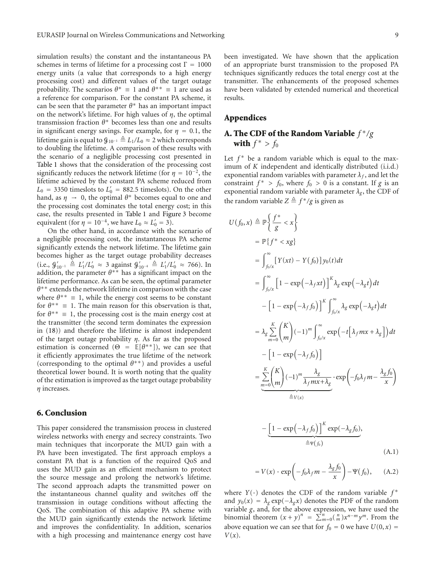simulation results) the constant and the instantaneous PA schemes in terms of lifetime for a processing cost  $\Gamma = 1000$ energy units (a value that corresponds to a high energy processing cost) and different values of the target outage probability. The scenarios  $\theta^* \equiv 1$  and  $\theta^{**} \equiv 1$  are used as a reference for comparison. For the constant PA scheme, it can be seen that the parameter  $\theta^*$  has an important impact on the network's lifetime. For high values of *η*, the optimal transmission fraction *θ*<sup>∗</sup> becomes less than one and results in significant energy savings. For example, for  $\eta = 0.1$ , the lifetime gain is equal to  $\mathcal{G}_{10^{-1}} \triangleq L_1/L_0 \approx 2$  which corresponds to doubling the lifetime. A comparison of these results with the scenario of a negligible processing cost presented in Table 1 shows that the consideration of the processing cost significantly reduces the network lifetime (for  $\eta = 10^{-2}$ , the lifetime achieved by the constant PA scheme reduced from  $L_0 = 3350$  timeslots to  $L'_0 = 882.5$  timeslots). On the other hand, as  $\eta \rightarrow 0$ , the optimal  $\theta^*$  becomes equal to one and the processing cost dominates the total energy cost; in this case, the results presented in Table 1 and Figure 3 become equivalent (for  $\eta = 10^{-4}$ , we have  $L_0 \approx L'_0 = 3$ ).

On the other hand, in accordance with the scenario of a negligible processing cost, the instantaneous PA scheme significantly extends the network lifetime. The lifetime gain becomes higher as the target outage probability decreases (i.e.,  $\mathcal{G}'_{10^{-1}} \triangleq L'_1/L'_0 \approx 3$  against  $\mathcal{G}'_{10^{-4}} \triangleq L'_1/L'_0 \approx 766$ ). In addition, the parameter  $\theta^{**}$  has a significant impact on the lifetime performance. As can be seen, the optimal parameter *θ*∗∗ extends the network lifetime in comparison with the case where  $\theta^{**} \equiv 1$ , while the energy cost seems to be constant for  $\theta^{**} \equiv 1$ . The main reason for this observation is that, for  $\theta^{**} \equiv 1$ , the processing cost is the main energy cost at the transmitter (the second term dominates the expression in (18)) and therefore the lifetime is almost independent of the target outage probability *η*. As far as the proposed estimation is concerned ( $\Theta = \mathbb{E}[\theta^{**}]$ ), we can see that it efficiently approximates the true lifetime of the network (corresponding to the optimal *θ*∗∗) and provides a useful theoretical lower bound. It is worth noting that the quality of the estimation is improved as the target outage probability *η* increases.

#### **6. Conclusion**

This paper considered the transmission process in clustered wireless networks with energy and secrecy constraints. Two main techniques that incorporate the MUD gain with a PA have been investigated. The first approach employs a constant PA that is a function of the required QoS and uses the MUD gain as an efficient mechanism to protect the source message and prolong the network's lifetime. The second approach adapts the transmitted power on the instantaneous channel quality and switches off the transmission in outage conditions without affecting the QoS. The combination of this adaptive PA scheme with the MUD gain significantly extends the network lifetime and improves the confidentiality. In addition, scenarios with a high processing and maintenance energy cost have

been investigated. We have shown that the application of an appropriate burst transmission to the proposed PA techniques significantly reduces the total energy cost at the transmitter. The enhancements of the proposed schemes have been validated by extended numerical and theoretical results.

### **Appendices**

## **A. The CDF of the Random Variable** *f* <sup>∗</sup>*/g* **with**  $f^* > f_0$

Let  $f^*$  be a random variable which is equal to the maximum of *K* independent and identically distributed (i.i.d.) exponential random variables with parameter  $\lambda_f$ , and let the constraint  $f^* > f_0$ , where  $f_0 > 0$  is a constant. If *g* is an exponential random variable with parameter  $\lambda_g$ , the CDF of the random variable  $Z \triangleq f^*/g$  is given as

$$
U(f_0, x) \triangleq \mathbb{P}\left\{\frac{f^*}{g} < x\right\}
$$
  
\n
$$
= \mathbb{P}\left\{f^* < xg\right\}
$$
  
\n
$$
= \int_{f_0/x}^{\infty} \left[Y(xt) - Y(f_0)\right]y_0(t)dt
$$
  
\n
$$
= \int_{f_0/x}^{\infty} \left[1 - \exp\left(-\lambda_f xt\right)\right]^K \lambda_g \exp\left(-\lambda_g t\right)dt
$$
  
\n
$$
- \left[1 - \exp\left(-\lambda_f f_0\right)\right]^K \int_{f_0/x}^{\infty} \lambda_g \exp\left(-\lambda_g t\right)dt
$$
  
\n
$$
= \lambda_g \sum_{m=0}^K {K \choose m} (-1)^m \int_{f_0/x}^{\infty} \exp\left(-t\left[\lambda_f mx + \lambda_g\right]\right)dt
$$
  
\n
$$
- \left[1 - \exp\left(-\lambda_f f_0\right)\right]
$$
  
\n
$$
= \sum_{m=0}^K {K \choose m} (-1)^m \frac{\lambda_g}{\lambda_f mx + \lambda_g} \cdot \exp\left(-f_0 \lambda_f m - \frac{\lambda_g f_0}{x}\right)
$$
  
\n
$$
\triangleq V(x)
$$

$$
-\underbrace{\left[1-\exp\left(-\lambda_{f}f_{0}\right)\right]^{K}\exp(-\lambda_{g}f_{0})}_{\triangleq\Psi(f_{0})},\tag{A.1}
$$

$$
= V(x) \cdot \exp\left(-f_0 \lambda_f m - \frac{\lambda_g f_0}{x}\right) - \Psi(f_0), \quad (A.2)
$$

where  $Y(\cdot)$  denotes the CDF of the random variable  $f^*$ and  $y_0(x) = \lambda_g \exp(-\lambda_g x)$  denotes the PDF of the random variable *g*, and, for the above expression, we have used the binomial theorem  $(x + y)^n = \sum_{m=0}^n {n \choose m} x^{n-m} y^m$ . From the above equation we can see that for  $f_0 = 0$  we have  $U(0, x) =$ *V*(*x*).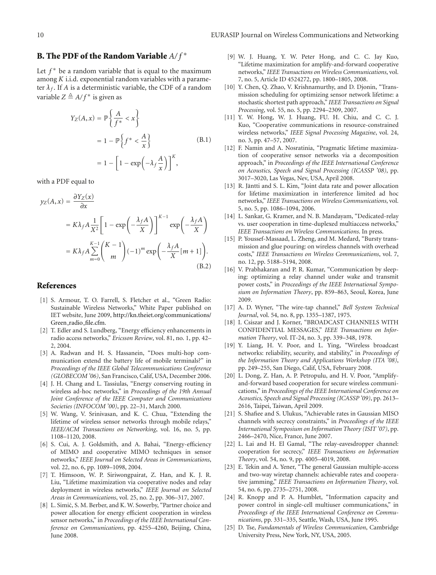## **B. The PDF of the Random Variable** *A/ f* <sup>∗</sup>

Let  $f^*$  be a random variable that is equal to the maximum among *K* i.i.d. exponential random variables with a parameter  $\lambda_f$ . If *A* is a deterministic variable, the CDF of a random variable  $Z \triangleq A/f^*$  is given as

$$
Y_Z(A, x) = \mathbb{P}\left\{\frac{A}{f^*} < x\right\}
$$
\n
$$
= 1 - \mathbb{P}\left\{f^* < \frac{A}{x}\right\} \tag{B.1}
$$
\n
$$
= 1 - \left[1 - \exp\left(-\lambda_f \frac{A}{x}\right)\right]^K,
$$

with a PDF equal to

$$
y_Z(A, x) = \frac{\partial Y_Z(x)}{\partial x}
$$
  
=  $K \lambda_f A \frac{1}{X^2} \left[ 1 - \exp\left( -\frac{\lambda_f A}{X} \right) \right]^{K-1} \exp\left( -\frac{\lambda_f A}{X} \right)$   
=  $K \lambda_f A \sum_{m=0}^{K-1} {K-1 \choose m} (-1)^m \exp\left( -\frac{\lambda_f A}{X} [m+1] \right).$   
(B.2)

#### **References**

- [1] S. Armour, T. O. Farrell, S. Fletcher et al., "Green Radio: Sustainable Wireless Networks," White Paper published on IET website, June 2009, http://kn.theiet.org/communications/ Green\_radio\_file.cfm.
- [2] T. Edler and S. Lundberg, "Energy efficiency enhancements in radio access networks," *Ericsson Review*, vol. 81, no. 1, pp. 42– 2, 2004.
- [3] A. Radwan and H. S. Hassanein, "Does multi-hop communication extend the battery life of mobile terminals?" in *Proceedings of the IEEE Global Telecommunications Conference (GLOBECOM '06)*, San Francisco, Calif, USA, December 2006.
- [4] J. H. Chang and L. Tassiulas, "Energy conserving routing in wireless ad-hoc networks," in *Proceedings of the 19th Annual Joint Conference of the IEEE Computer and Communications Societies (INFOCOM '00)*, pp. 22–31, March 2000.
- [5] W. Wang, V. Srinivasan, and K. C. Chua, "Extending the lifetime of wireless sensor networks through mobile relays," *IEEE/ACM Transactions on Networking*, vol. 16, no. 5, pp. 1108–1120, 2008.
- [6] S. Cui, A. J. Goldsmith, and A. Bahai, "Energy-efficiency of MIMO and cooperative MIMO techniques in sensor networks," *IEEE Journal on Selected Areas in Communications*, vol. 22, no. 6, pp. 1089–1098, 2004.
- [7] T. Himsoon, W. P. Siriwongpairat, Z. Han, and K. J. R. Liu, "Lifetime maximization via cooperative nodes and relay deployment in wireless networks," *IEEE Journal on Selected Areas in Communications*, vol. 25, no. 2, pp. 306–317, 2007.
- [8] L. Simić, S. M. Berber, and K. W. Sowerby, "Partner choice and power allocation for energy efficient cooperation in wireless sensor networks," in *Proceedings of the IEEE International Conference on Communications*, pp. 4255–4260, Beijing, China, June 2008.
- [9] W. J. Huang, Y. W. Peter Hong, and C. C. Jay Kuo, "Lifetime maximization for amplify-and-forward cooperative networks," *IEEE Transactions on Wireless Communications*, vol. 7, no. 5, Article ID 4524272, pp. 1800–1805, 2008.
- [10] Y. Chen, Q. Zhao, V. Krishnamurthy, and D. Djonin, "Transmission scheduling for optimizing sensor network lifetime: a stochastic shortest path approach," *IEEE Transactions on Signal Processing*, vol. 55, no. 5, pp. 2294–2309, 2007.
- [11] Y. W. Hong, W. J. Huang, FU. H. Chiu, and C. C. J. Kuo, "Cooperative communications in resource-constrained wireless networks," *IEEE Signal Processing Magazine*, vol. 24, no. 3, pp. 47–57, 2007.
- [12] F. Namin and A. Nosratinia, "Pragmatic lifetime maximization of cooperative sensor networks via a decomposition approach," in *Proceedings of the IEEE International Conference on Acoustics, Speech and Signal Processing (ICASSP '08)*, pp. 3017–3020, Las Vegas, Nev, USA, April 2008.
- [13] R. Jäntti and S. L. Kim, "Joint data rate and power allocation for lifetime maximization in interference limited ad hoc networks," *IEEE Transactions on Wireless Communications*, vol. 5, no. 5, pp. 1086–1094, 2006.
- [14] L. Sankar, G. Kramer, and N. B. Mandayam, "Dedicated-relay vs. user cooperation in time-duplexed multiaccess networks," *IEEE Transactions on Wireless Communications*. In press.
- [15] P. Youssef-Massaad, L. Zheng, and M. Medard, "Bursty transmission and glue pouring: on wireless channels with overhead costs," *IEEE Transactions on Wireless Communications*, vol. 7, no. 12, pp. 5188–5194, 2008.
- [16] V. Prabhakaran and P. R. Kumar, "Communication by sleeping: optimizing a relay channel under wake and transmit power costs," in *Proceedings of the IEEE International Symposium on Information Theory*, pp. 859–863, Seoul, Korea, June 2009.
- [17] A. D. Wyner, "The wire-tap channel," *Bell System Technical Journal*, vol. 54, no. 8, pp. 1355–1387, 1975.
- [18] I. Csiszar and J. Korner, "BROADCAST CHANNELS WITH CONFIDENTIAL MESSAGES," *IEEE Transactions on Information Theory*, vol. IT-24, no. 3, pp. 339–348, 1978.
- [19] Y. Liang, H. V. Poor, and L. Ying, "Wireless broadcast networks: reliability, security, and stability," in *Proceedings of the Information Theory and Applications Workshop (ITA '08)*, pp. 249–255, San Diego, Calif, USA, February 2008.
- [20] L. Dong, Z. Han, A. P. Petropulu, and H. V. Poor, "Amplifyand-forward based cooperation for secure wireless communications," in *Proceedings of the IEEE International Conference on Acoustics, Speech and Signal Processing (ICASSP '09)*, pp. 2613– 2616, Taipei, Taiwan, April 2009.
- [21] S. Shafiee and S. Ulukus, "Achievable rates in Gaussian MISO channels with secrecy constraints," in *Proceedings of the IEEE International Symposium on Information Theory (ISIT '07)*, pp. 2466–2470, Nice, France, June 2007.
- [22] L. Lai and H. El Gamal, "The relay-eavesdropper channel: cooperation for secrecy," *IEEE Transactions on Information Theory*, vol. 54, no. 9, pp. 4005–4019, 2008.
- [23] E. Tekin and A. Yener, "The general Gaussian multiple-access and two-way wiretap channels: achievable rates and cooperative jamming," *IEEE Transactions on Information Theory*, vol. 54, no. 6, pp. 2735–2751, 2008.
- [24] R. Knopp and P. A. Humblet, "Information capacity and power control in single-cell multiuser communications," in *Proceedings of the IEEE International Conference on Communications*, pp. 331–335, Seattle, Wash, USA, June 1995.
- [25] D. Tse, *Fundamentals of Wireless Communication*, Cambridge University Press, New York, NY, USA, 2005.